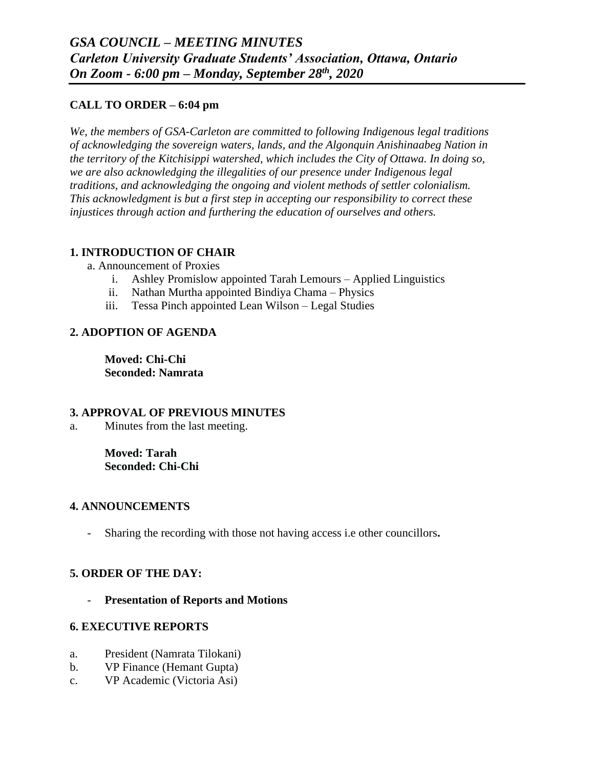## **CALL TO ORDER – 6:04 pm**

*We, the members of GSA-Carleton are committed to following Indigenous legal traditions of acknowledging the sovereign waters, lands, and the Algonquin Anishinaabeg Nation in the territory of the Kitchisippi watershed, which includes the City of Ottawa. In doing so, we are also acknowledging the illegalities of our presence under Indigenous legal traditions, and acknowledging the ongoing and violent methods of settler colonialism. This acknowledgment is but a first step in accepting our responsibility to correct these injustices through action and furthering the education of ourselves and others.*

## **1. INTRODUCTION OF CHAIR**

- a. Announcement of Proxies
	- i. Ashley Promislow appointed Tarah Lemours Applied Linguistics
	- ii. Nathan Murtha appointed Bindiya Chama Physics
	- iii. Tessa Pinch appointed Lean Wilson Legal Studies

# **2. ADOPTION OF AGENDA**

**Moved: Chi-Chi Seconded: Namrata**

## **3. APPROVAL OF PREVIOUS MINUTES**

a. Minutes from the last meeting.

**Moved: Tarah Seconded: Chi-Chi**

## **4. ANNOUNCEMENTS**

- Sharing the recording with those not having access i.e other councillors**.**

# **5. ORDER OF THE DAY:**

- **Presentation of Reports and Motions**

## **6. EXECUTIVE REPORTS**

- a. President (Namrata Tilokani)
- b. VP Finance (Hemant Gupta)
- c. VP Academic (Victoria Asi)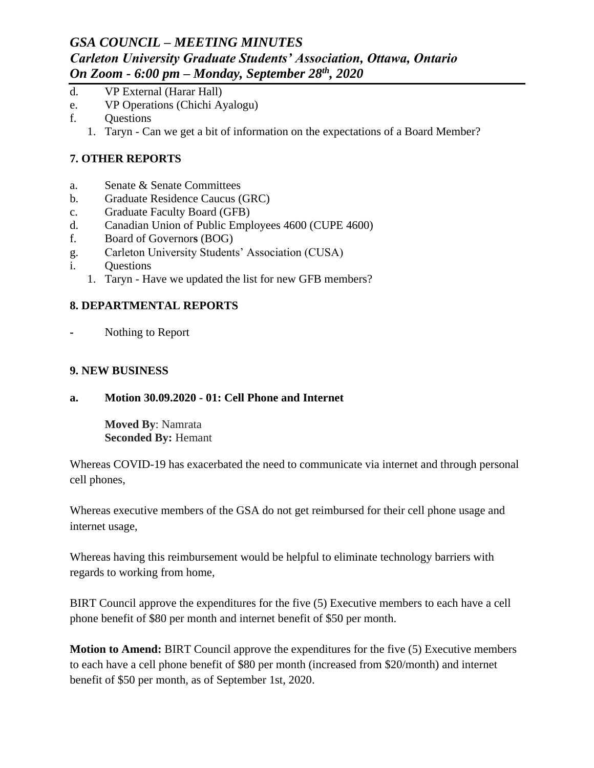# *GSA COUNCIL – MEETING MINUTES Carleton University Graduate Students' Association, Ottawa, Ontario On Zoom - 6:00 pm – Monday, September 28th, 2020*

- d. VP External (Harar Hall)
- e. VP Operations (Chichi Ayalogu)
- f. Questions
	- 1. Taryn Can we get a bit of information on the expectations of a Board Member?

## **7. OTHER REPORTS**

- a. Senate & Senate Committees
- b. Graduate Residence Caucus (GRC)
- c. Graduate Faculty Board (GFB)
- d. Canadian Union of Public Employees 4600 (CUPE 4600)
- f. Board of Governor**s** (BOG)
- g. Carleton University Students' Association (CUSA)
- i. Questions
	- 1. Taryn Have we updated the list for new GFB members?

## **8. DEPARTMENTAL REPORTS**

**-** Nothing to Report

## **9. NEW BUSINESS**

**a. Motion 30.09.2020 - 01: Cell Phone and Internet**

**Moved By**: Namrata **Seconded By:** Hemant

Whereas COVID-19 has exacerbated the need to communicate via internet and through personal cell phones,

Whereas executive members of the GSA do not get reimbursed for their cell phone usage and internet usage,

Whereas having this reimbursement would be helpful to eliminate technology barriers with regards to working from home,

BIRT Council approve the expenditures for the five (5) Executive members to each have a cell phone benefit of \$80 per month and internet benefit of \$50 per month.

**Motion to Amend:** BIRT Council approve the expenditures for the five (5) Executive members to each have a cell phone benefit of \$80 per month (increased from \$20/month) and internet benefit of \$50 per month, as of September 1st, 2020.